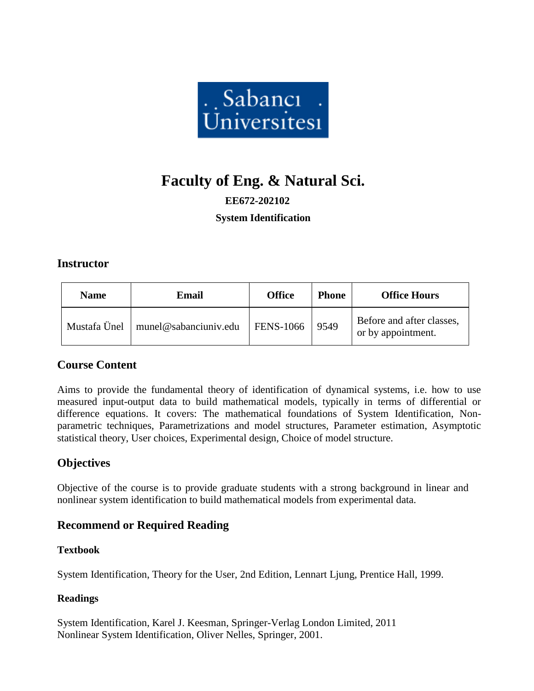

# **Faculty of Eng. & Natural Sci.**

# **EE672-202102 System Identification**

#### **Instructor**

| <b>Name</b>  | Email                 | <b>Office</b>    | <b>Phone</b> | <b>Office Hours</b>                             |
|--------------|-----------------------|------------------|--------------|-------------------------------------------------|
| Mustafa Ünel | munel@sabanciuniv.edu | <b>FENS-1066</b> | 9549         | Before and after classes,<br>or by appointment. |

## **Course Content**

Aims to provide the fundamental theory of identification of dynamical systems, i.e. how to use measured input-output data to build mathematical models, typically in terms of differential or difference equations. It covers: The mathematical foundations of System Identification, Nonparametric techniques, Parametrizations and model structures, Parameter estimation, Asymptotic statistical theory, User choices, Experimental design, Choice of model structure.

# **Objectives**

Objective of the course is to provide graduate students with a strong background in linear and nonlinear system identification to build mathematical models from experimental data.

## **Recommend or Required Reading**

#### **Textbook**

System Identification, Theory for the User, 2nd Edition, Lennart Ljung, Prentice Hall, 1999.

#### **Readings**

System Identification, Karel J. Keesman, Springer-Verlag London Limited, 2011 Nonlinear System Identification, Oliver Nelles, Springer, 2001.